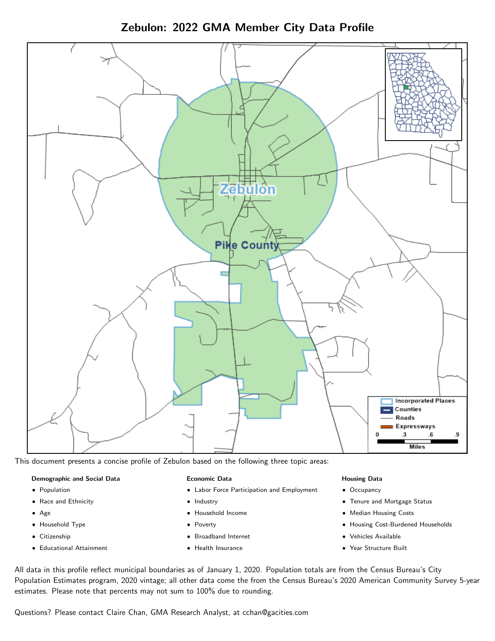Zebulon: 2022 GMA Member City Data Profile



This document presents a concise profile of Zebulon based on the following three topic areas:

#### Demographic and Social Data

- **•** Population
- Race and Ethnicity
- Age
- Household Type
- **Citizenship**
- Educational Attainment

#### Economic Data

- Labor Force Participation and Employment
- Industry
- Household Income
- Poverty
- Broadband Internet
- Health Insurance

#### Housing Data

- Occupancy
- Tenure and Mortgage Status
- Median Housing Costs
- Housing Cost-Burdened Households
- Vehicles Available
- Year Structure Built

All data in this profile reflect municipal boundaries as of January 1, 2020. Population totals are from the Census Bureau's City Population Estimates program, 2020 vintage; all other data come the from the Census Bureau's 2020 American Community Survey 5-year estimates. Please note that percents may not sum to 100% due to rounding.

Questions? Please contact Claire Chan, GMA Research Analyst, at [cchan@gacities.com.](mailto:cchan@gacities.com)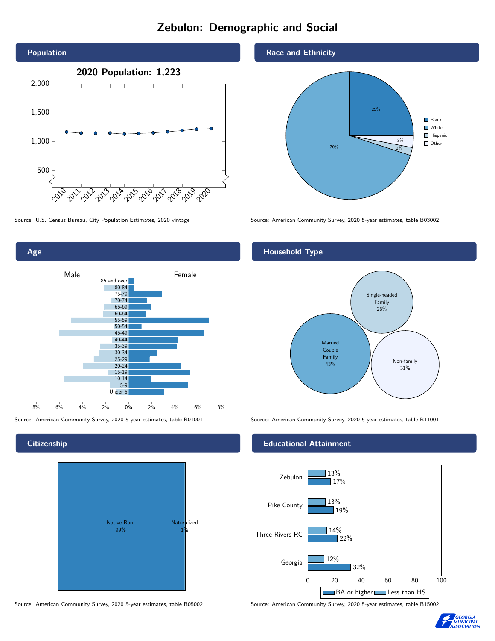# Zebulon: Demographic and Social





**Citizenship** 



Race and Ethnicity



Source: U.S. Census Bureau, City Population Estimates, 2020 vintage Source: American Community Survey, 2020 5-year estimates, table B03002

### Household Type



Source: American Community Survey, 2020 5-year estimates, table B01001 Source: American Community Survey, 2020 5-year estimates, table B11001

### Educational Attainment



Source: American Community Survey, 2020 5-year estimates, table B05002 Source: American Community Survey, 2020 5-year estimates, table B15002

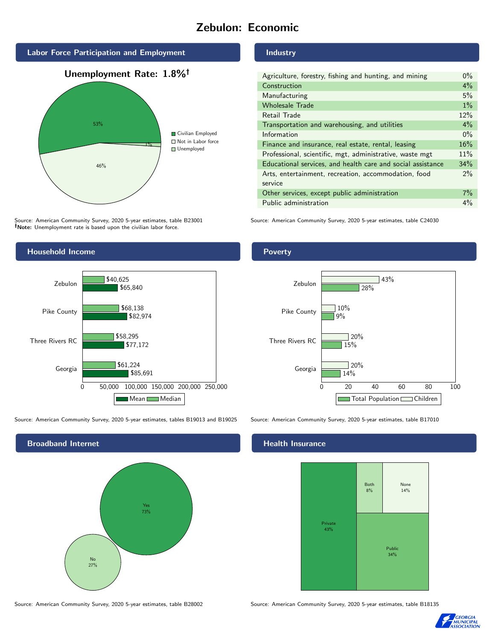# Zebulon: Economic



Source: American Community Survey, 2020 5-year estimates, table B23001 Note: Unemployment rate is based upon the civilian labor force.



Source: American Community Survey, 2020 5-year estimates, tables B19013 and B19025 Source: American Community Survey, 2020 5-year estimates, table B17010



Industry

| Agriculture, forestry, fishing and hunting, and mining      | $0\%$ |
|-------------------------------------------------------------|-------|
| Construction                                                | $4\%$ |
| Manufacturing                                               | 5%    |
| <b>Wholesale Trade</b>                                      | $1\%$ |
| Retail Trade                                                | 12%   |
| Transportation and warehousing, and utilities               | $4\%$ |
| Information                                                 | $0\%$ |
| Finance and insurance, real estate, rental, leasing         | 16%   |
| Professional, scientific, mgt, administrative, waste mgt    | 11%   |
| Educational services, and health care and social assistance | 34%   |
| Arts, entertainment, recreation, accommodation, food        | $2\%$ |
| service                                                     |       |
| Other services, except public administration                | $7\%$ |
| Public administration                                       | $4\%$ |

Source: American Community Survey, 2020 5-year estimates, table C24030

Poverty



## **Health Insurance**



Source: American Community Survey, 2020 5-year estimates, table B28002 Source: American Community Survey, 2020 5-year estimates, table B18135